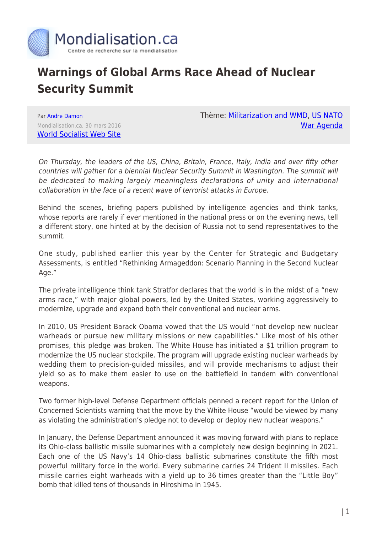

## **Warnings of Global Arms Race Ahead of Nuclear Security Summit**

Par [Andre Damon](https://www.mondialisation.ca/author/andre-damon) Mondialisation.ca, 30 mars 2016 [World Socialist Web Site](http://www.wsws.org/en/articles/2016/03/30/pers-m30.html) Thème: [Militarization and WMD,](https://www.mondialisation.ca/theme/militarization-and-wmd) [US NATO](https://www.mondialisation.ca/theme/us-nato-war-agenda) [War Agenda](https://www.mondialisation.ca/theme/us-nato-war-agenda)

On Thursday, the leaders of the US, China, Britain, France, Italy, India and over fifty other countries will gather for a biennial Nuclear Security Summit in Washington. The summit will be dedicated to making largely meaningless declarations of unity and international collaboration in the face of a recent wave of terrorist attacks in Europe.

Behind the scenes, briefing papers published by intelligence agencies and think tanks, whose reports are rarely if ever mentioned in the national press or on the evening news, tell a different story, one hinted at by the decision of Russia not to send representatives to the summit.

One study, published earlier this year by the Center for Strategic and Budgetary Assessments, is entitled "Rethinking Armageddon: Scenario Planning in the Second Nuclear Age."

The private intelligence think tank Stratfor declares that the world is in the midst of a "new arms race," with major global powers, led by the United States, working aggressively to modernize, upgrade and expand both their conventional and nuclear arms.

In 2010, US President Barack Obama vowed that the US would "not develop new nuclear warheads or pursue new military missions or new capabilities." Like most of his other promises, this pledge was broken. The White House has initiated a \$1 trillion program to modernize the US nuclear stockpile. The program will upgrade existing nuclear warheads by wedding them to precision-guided missiles, and will provide mechanisms to adjust their yield so as to make them easier to use on the battlefield in tandem with conventional weapons.

Two former high-level Defense Department officials penned a recent report for the Union of Concerned Scientists warning that the move by the White House "would be viewed by many as violating the administration's pledge not to develop or deploy new nuclear weapons."

In January, the Defense Department announced it was moving forward with plans to replace its Ohio-class ballistic missile submarines with a completely new design beginning in 2021. Each one of the US Navy's 14 Ohio-class ballistic submarines constitute the fifth most powerful military force in the world. Every submarine carries 24 Trident II missiles. Each missile carries eight warheads with a yield up to 36 times greater than the "Little Boy" bomb that killed tens of thousands in Hiroshima in 1945.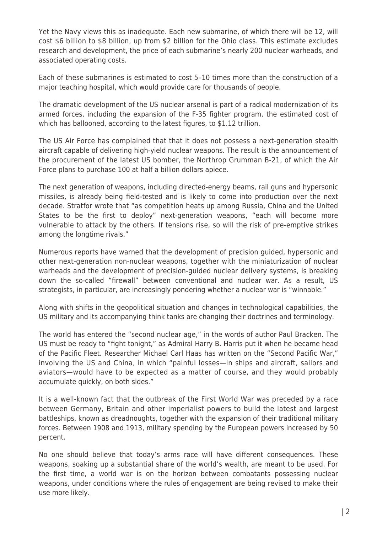Yet the Navy views this as inadequate. Each new submarine, of which there will be 12, will cost \$6 billion to \$8 billion, up from \$2 billion for the Ohio class. This estimate excludes research and development, the price of each submarine's nearly 200 nuclear warheads, and associated operating costs.

Each of these submarines is estimated to cost 5–10 times more than the construction of a major teaching hospital, which would provide care for thousands of people.

The dramatic development of the US nuclear arsenal is part of a radical modernization of its armed forces, including the expansion of the F-35 fighter program, the estimated cost of which has ballooned, according to the latest figures, to \$1.12 trillion.

The US Air Force has complained that that it does not possess a next-generation stealth aircraft capable of delivering high-yield nuclear weapons. The result is the announcement of the procurement of the latest US bomber, the Northrop Grumman B-21, of which the Air Force plans to purchase 100 at half a billion dollars apiece.

The next generation of weapons, including directed-energy beams, rail guns and hypersonic missiles, is already being field-tested and is likely to come into production over the next decade. Stratfor wrote that "as competition heats up among Russia, China and the United States to be the first to deploy" next-generation weapons, "each will become more vulnerable to attack by the others. If tensions rise, so will the risk of pre-emptive strikes among the longtime rivals."

Numerous reports have warned that the development of precision guided, hypersonic and other next-generation non-nuclear weapons, together with the miniaturization of nuclear warheads and the development of precision-guided nuclear delivery systems, is breaking down the so-called "firewall" between conventional and nuclear war. As a result, US strategists, in particular, are increasingly pondering whether a nuclear war is "winnable."

Along with shifts in the geopolitical situation and changes in technological capabilities, the US military and its accompanying think tanks are changing their doctrines and terminology.

The world has entered the "second nuclear age," in the words of author Paul Bracken. The US must be ready to "fight tonight," as Admiral Harry B. Harris put it when he became head of the Pacific Fleet. Researcher Michael Carl Haas has written on the "Second Pacific War," involving the US and China, in which "painful losses—in ships and aircraft, sailors and aviators—would have to be expected as a matter of course, and they would probably accumulate quickly, on both sides."

It is a well-known fact that the outbreak of the First World War was preceded by a race between Germany, Britain and other imperialist powers to build the latest and largest battleships, known as dreadnoughts, together with the expansion of their traditional military forces. Between 1908 and 1913, military spending by the European powers increased by 50 percent.

No one should believe that today's arms race will have different consequences. These weapons, soaking up a substantial share of the world's wealth, are meant to be used. For the first time, a world war is on the horizon between combatants possessing nuclear weapons, under conditions where the rules of engagement are being revised to make their use more likely.